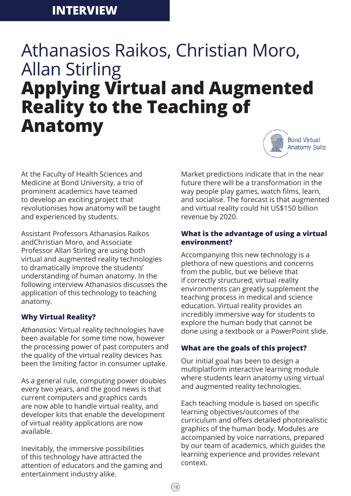# Athanasios Raikos, Christian Moro, Allan Stirling **Applying Virtual and Augmented Reality to the Teaching of Anatomy**



At the Faculty of Health Sciences and Medicine at Bond University, a trio of prominent academics have teamed to develop an exciting project that revolutionises how anatomy will be taught and experienced by students.

Assistant Professors Athanasios Raikos andChristian Moro, and Associate Professor Allan Stirling are using both virtual and augmented reality technologies to dramatically improve the students' understanding of human anatomy. In the following interview Athanasios discusses the application of this technology to teaching anatomy.

## **Why Virtual Reality?**

*Athanasios:* Virtual reality technologies have been available for some time now, however the processing power of past computers and the quality of the virtual reality devices has been the limiting factor in consumer uptake.

As a general rule, computing power doubles every two years, and the good news is that current computers and graphics cards are now able to handle virtual reality, and developer kits that enable the development of virtual reality applications are now available.

Inevitably, the immersive possibilities of this technology have attracted the attention of educators and the gaming and entertainment industry alike.

Market predictions indicate that in the near future there will be a transformation in the way people play games, watch films, learn, and socialise. The forecast is that augmented and virtual reality could hit US\$150 billion revenue by 2020.

### **What is the advantage of using a virtual environment?**

Accompanying this new technology is a plethora of new questions and concerns from the public, but we believe that if correctly structured, virtual reality environments can greatly supplement the teaching process in medical and science education. Virtual reality provides an incredibly immersive way for students to explore the human body that cannot be done using a textbook or a PowerPoint slide.

## **What are the goals of this project?**

Our initial goal has been to design a multiplatform interactive learning module where students learn anatomy using virtual and augmented reality technologies.

Each teaching module is based on specific learning objectives/outcomes of the curriculum and offers detailed photorealistic graphics of the human body. Modules are accompanied by voice narrations, prepared by our team of academics, which guides the learning experience and provides relevant context.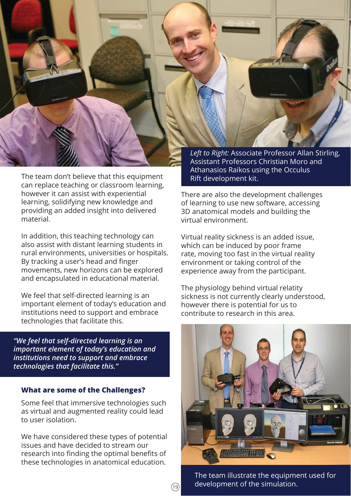

In addition, this teaching technology can also assist with distant learning students in rural environments, universities or hospitals. By tracking a user's head and finger movements, new horizons can be explored and encapsulated in educational material.

We feel that self-directed learning is an important element of today's education and institutions need to support and embrace technologies that facilitate this.

*"We feel that self-directed learning is an important element of today's education and institutions need to support and embrace technologies that facilitate this."*

#### **What are some of the Challenges?**

Some feel that immersive technologies such as virtual and augmented reality could lead to user isolation.

We have considered these types of potential issues and have decided to stream our research into finding the optimal benefits of these technologies in anatomical education.

 $(19)$ 

*Left to Right:* Associate Professor Allan Stirling, Assistant Professors Christian Moro and Athanasios Raikos using the Occulus Rift development kit.

There are also the development challenges of learning to use new software, accessing 3D anatomical models and building the virtual environment.

Virtual reality sickness is an added issue, which can be induced by poor frame rate, moving too fast in the virtual reality environment or taking control of the experience away from the participant.

The physiology behind virtual relatity sickness is not currently clearly understood, however there is potential for us to contribute to research in this area.



The team illustrate the equipment used for development of the simulation.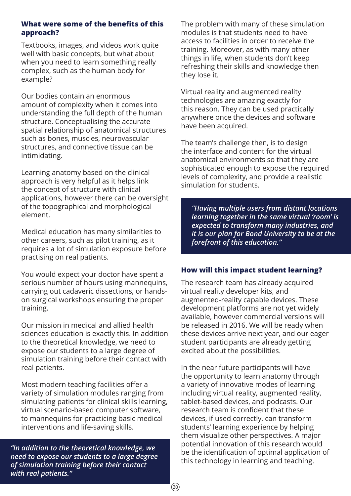#### **What were some of the benefits of this approach?**

Textbooks, images, and videos work quite well with basic concepts, but what about when you need to learn something really complex, such as the human body for example?

Our bodies contain an enormous amount of complexity when it comes into understanding the full depth of the human structure. Conceptualising the accurate spatial relationship of anatomical structures such as bones, muscles, neurovascular structures, and connective tissue can be intimidating.

Learning anatomy based on the clinical approach is very helpful as it helps link the concept of structure with clinical applications, however there can be oversight of the topographical and morphological element.

Medical education has many similarities to other careers, such as pilot training, as it requires a lot of simulation exposure before practising on real patients.

You would expect your doctor have spent a serious number of hours using mannequins, carrying out cadaveric dissections, or handson surgical workshops ensuring the proper training.

Our mission in medical and allied health sciences education is exactly this. In addition to the theoretical knowledge, we need to expose our students to a large degree of simulation training before their contact with real patients.

Most modern teaching facilities offer a variety of simulation modules ranging from simulating patients for clinical skills learning, virtual scenario-based computer software, to mannequins for practicing basic medical interventions and life-saving skills.

*"In addition to the theoretical knowledge, we need to expose our students to a large degree of simulation training before their contact with real patients."*

The problem with many of these simulation modules is that students need to have access to facilities in order to receive the training. Moreover, as with many other things in life, when students don't keep refreshing their skills and knowledge then they lose it.

Virtual reality and augmented reality technologies are amazing exactly for this reason. They can be used practically anywhere once the devices and software have been acquired.

The team's challenge then, is to design the interface and content for the virtual anatomical environments so that they are sophisticated enough to expose the required levels of complexity, and provide a realistic simulation for students.

*"Having multiple users from distant locations learning together in the same virtual 'room' is expected to transform many industries, and it is our plan for Bond University to be at the forefront of this education."*

#### **How will this impact student learning?**

The research team has already acquired virtual reality developer kits, and augmented-reality capable devices. These development platforms are not yet widely available, however commercial versions will be released in 2016. We will be ready when these devices arrive next year, and our eager student participants are already getting excited about the possibilities.

In the near future participants will have the opportunity to learn anatomy through a variety of innovative modes of learning including virtual reality, augmented reality, tablet-based devices, and podcasts. Our research team is confident that these devices, if used correctly, can transform students' learning experience by helping them visualize other perspectives. A major potential innovation of this research would be the identification of optimal application of this technology in learning and teaching.